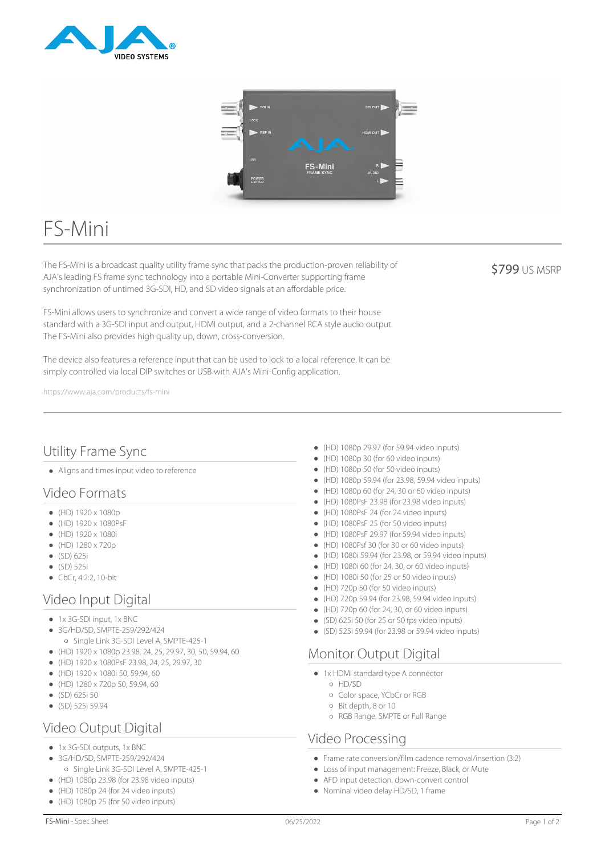



# FS-Mini

The FS-Mini is a broadcast quality utility frame sync that packs the production-proven reliability of AJA's leading FS frame sync technology into a portable Mini-Converter supporting frame synchronization of untimed 3G-SDI, HD, and SD video signals at an affordable price.

FS-Mini allows users to synchronize and convert a wide range of video formats to their house standard with a 3G-SDI input and output, HDMI output, and a 2-channel RCA style audio output. The FS-Mini also provides high quality up, down, cross-conversion.

The device also features a reference input that can be used to lock to a local reference. It can be simply controlled via local DIP switches or USB with AJA's Mini-Config application.

https://www.aja.com/products/fs-mini

## Utility Frame Sync

Aligns and times input video to reference

#### Video Formats

- $(HD) 1920 \times 1080p$
- $(HD) 1920 \times 1080PsF$
- $(HD) 1920 \times 1080i$
- $(HD) 1280 \times 720p$
- (SD) 625i
- (SD) 525i
- $\bullet$  CbCr, 4:2:2, 10-bit

#### Video Input Digital

- $\bullet$  1x 3G-SDI input, 1x BNC
- 3G/HD/SD, SMPTE-259/292/424 Single Link 3G-SDI Level A, SMPTE-425-1
- $\bullet$  (HD) 1920 x 1080p 23.98, 24, 25, 29.97, 30, 50, 59.94, 60
- (HD) 1920 x 1080PsF 23.98, 24, 25, 29.97, 30
- (HD) 1920 x 1080i 50, 59.94, 60
- (HD) 1280 x 720p 50, 59.94, 60
- $\bullet$  (SD) 625i 50
- $\bullet$  (SD) 525i 59.94

#### Video Output Digital

- 1x 3G-SDI outputs, 1x BNC
- 3G/HD/SD, SMPTE-259/292/424
- Single Link 3G-SDI Level A, SMPTE-425-1
- $\bullet$  (HD) 1080p 23.98 (for 23.98 video inputs)
- $(HD)$  1080p 24 (for 24 video inputs)
- (HD) 1080p 25 (for 50 video inputs)
- (HD) 1080p 29.97 (for 59.94 video inputs)
- (HD) 1080p 30 (for 60 video inputs)
- (HD) 1080p 50 (for 50 video inputs)
- (HD) 1080p 59.94 (for 23.98, 59.94 video inputs)
- $(HD)$  1080p 60 (for 24, 30 or 60 video inputs)
- (HD) 1080PsF 23.98 (for 23.98 video inputs)  $\bullet$
- (HD) 1080PsF 24 (for 24 video inputs)
- (HD) 1080PsF 25 (for 50 video inputs)
- $(HD)$  1080PsF 29.97 (for 59.94 video inputs)
- (HD) 1080Psf 30 (for 30 or 60 video inputs)
- (HD) 1080i 59.94 (for 23.98, or 59.94 video inputs)
- $\bullet$  (HD) 1080i 60 (for 24, 30, or 60 video inputs)
- (HD) 1080i 50 (for 25 or 50 video inputs)
- (HD) 720p 50 (for 50 video inputs)
- (HD) 720p 59.94 (for 23.98, 59.94 video inputs)
- $(HD)$  720p 60 (for 24, 30, or 60 video inputs)
- (SD) 625i 50 (for 25 or 50 fps video inputs)
- (SD) 525i 59.94 (for 23.98 or 59.94 video inputs)

#### Monitor Output Digital

- 1x HDMI standard type A connector
	- HD/SD
	- Color space, YCbCr or RGB
	- o Bit depth, 8 or 10
	- RGB Range, SMPTE or Full Range

## Video Processing

- Frame rate conversion/film cadence removal/insertion (3:2)
- Loss of input management: Freeze, Black, or Mute
- AFD input detection, down-convert control
- Nominal video delay HD/SD, 1 frame

**\$799 US MSRP**